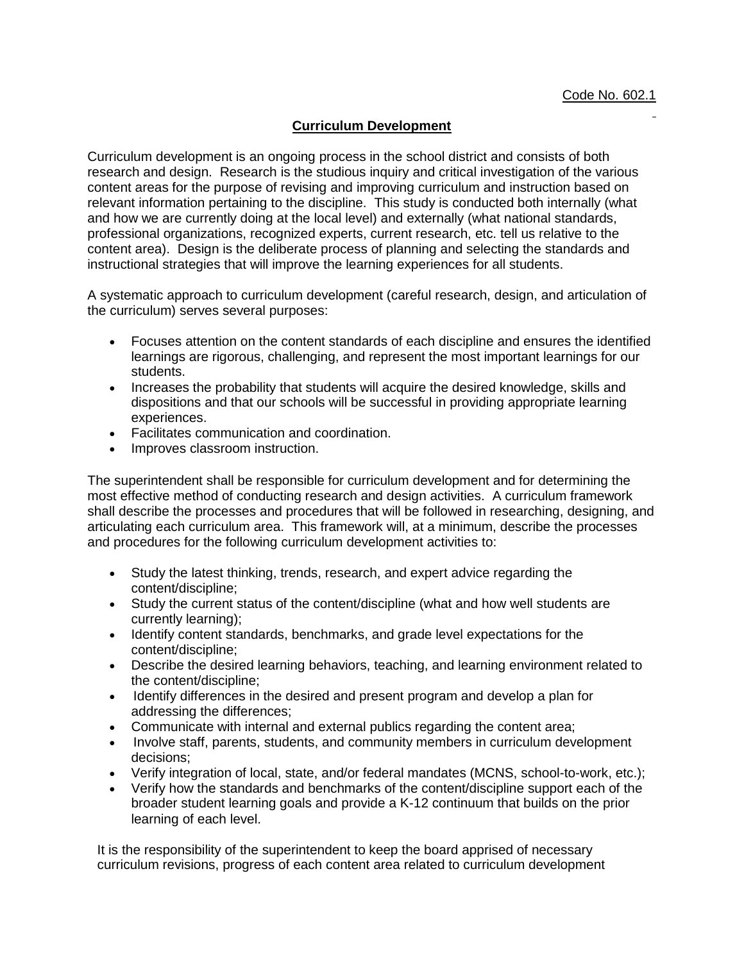## **Curriculum Development**

Curriculum development is an ongoing process in the school district and consists of both research and design. Research is the studious inquiry and critical investigation of the various content areas for the purpose of revising and improving curriculum and instruction based on relevant information pertaining to the discipline. This study is conducted both internally (what and how we are currently doing at the local level) and externally (what national standards, professional organizations, recognized experts, current research, etc. tell us relative to the content area). Design is the deliberate process of planning and selecting the standards and instructional strategies that will improve the learning experiences for all students.

A systematic approach to curriculum development (careful research, design, and articulation of the curriculum) serves several purposes:

- Focuses attention on the content standards of each discipline and ensures the identified learnings are rigorous, challenging, and represent the most important learnings for our students.
- Increases the probability that students will acquire the desired knowledge, skills and dispositions and that our schools will be successful in providing appropriate learning experiences.
- Facilitates communication and coordination.
- Improves classroom instruction.

The superintendent shall be responsible for curriculum development and for determining the most effective method of conducting research and design activities. A curriculum framework shall describe the processes and procedures that will be followed in researching, designing, and articulating each curriculum area. This framework will, at a minimum, describe the processes and procedures for the following curriculum development activities to:

- Study the latest thinking, trends, research, and expert advice regarding the content/discipline;
- Study the current status of the content/discipline (what and how well students are currently learning);
- Identify content standards, benchmarks, and grade level expectations for the content/discipline;
- Describe the desired learning behaviors, teaching, and learning environment related to the content/discipline;
- Identify differences in the desired and present program and develop a plan for addressing the differences;
- Communicate with internal and external publics regarding the content area;
- Involve staff, parents, students, and community members in curriculum development decisions;
- Verify integration of local, state, and/or federal mandates (MCNS, school-to-work, etc.);
- Verify how the standards and benchmarks of the content/discipline support each of the broader student learning goals and provide a K-12 continuum that builds on the prior learning of each level.

It is the responsibility of the superintendent to keep the board apprised of necessary curriculum revisions, progress of each content area related to curriculum development